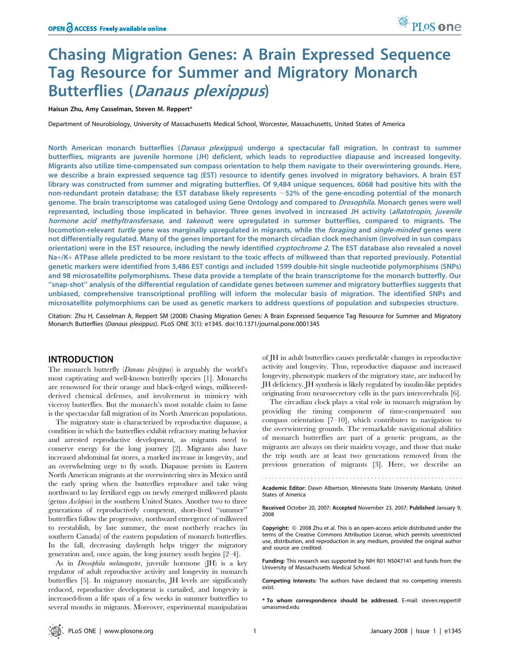# Chasing Migration Genes: A Brain Expressed Sequence Tag Resource for Summer and Migratory Monarch Butterflies (Danaus plexippus)

Haisun Zhu, Amy Casselman, Steven M. Reppert\*

Department of Neurobiology, University of Massachusetts Medical School, Worcester, Massachusetts, United States of America

North American monarch butterflies (Danaus plexippus) undergo a spectacular fall migration. In contrast to summer butterflies, migrants are juvenile hormone (JH) deficient, which leads to reproductive diapause and increased longevity. Migrants also utilize time-compensated sun compass orientation to help them navigate to their overwintering grounds. Here, we describe a brain expressed sequence tag (EST) resource to identify genes involved in migratory behaviors. A brain EST library was constructed from summer and migrating butterflies. Of 9,484 unique sequences, 6068 had positive hits with the non-redundant protein database; the EST database likely represents  $\sim$  52% of the gene-encoding potential of the monarch genome. The brain transcriptome was cataloged using Gene Ontology and compared to *Drosophila.* Monarch genes were well represented, including those implicated in behavior. Three genes involved in increased JH activity (allatotropin, juvenile hormone acid methyltransfersase, and takeout) were upregulated in summer butterflies, compared to migrants. The locomotion-relevant turtle gene was marginally upregulated in migrants, while the foraging and single-minded genes were not differentially regulated. Many of the genes important for the monarch circadian clock mechanism (involved in sun compass orientation) were in the EST resource, including the newly identified cryptochrome 2. The EST database also revealed a novel Na+/K+ ATPase allele predicted to be more resistant to the toxic effects of milkweed than that reported previously. Potential genetic markers were identified from 3,486 EST contigs and included 1599 double-hit single nucleotide polymorphisms (SNPs) and 98 microsatellite polymorphisms. These data provide a template of the brain transcriptome for the monarch butterfly. Our ''snap-shot'' analysis of the differential regulation of candidate genes between summer and migratory butterflies suggests that unbiased, comprehensive transcriptional profiling will inform the molecular basis of migration. The identified SNPs and microsatellite polymorphisms can be used as genetic markers to address questions of population and subspecies structure.

Citation: Zhu H, Casselman A, Reppert SM (2008) Chasing Migration Genes: A Brain Expressed Sequence Tag Resource for Summer and Migratory Monarch Butterflies (Danaus plexippus). PLoS ONE 3(1): e1345. doi:10.1371/journal.pone.0001345

### INTRODUCTION

The monarch butterfly (Danaus plexippus) is arguably the world's most captivating and well-known butterfly species [1]. Monarchs are renowned for their orange and black-edged wings, milkweedderived chemical defenses, and involvement in mimicry with viceroy butterflies. But the monarch's most notable claim to fame is the spectacular fall migration of its North American populations.

The migratory state is characterized by reproductive diapause, a condition in which the butterflies exhibit refractory mating behavior and arrested reproductive development, as migrants need to conserve energy for the long journey [2]. Migrants also have increased abdominal fat stores, a marked increase in longevity, and an overwhelming urge to fly south. Diapause persists in Eastern North American migrants at the overwintering sites in Mexico until the early spring when the butterflies reproduce and take wing northward to lay fertilized eggs on newly emerged milkweed plants (genus Asclepias) in the southern United States. Another two to three generations of reproductively competent, short-lived ''summer'' butterflies follow the progressive, northward emergence of milkweed to reestablish, by late summer, the most northerly reaches (in southern Canada) of the eastern population of monarch butterflies. In the fall, decreasing daylength helps trigger the migratory generation and, once again, the long journey south begins [2–4].

As in Drosophila melanogaster, juvenile hormone (JH) is a key regulator of adult reproductive activity and longevity in monarch butterflies [5]. In migratory monarchs, JH levels are significantly reduced, reproductive development is curtailed, and longevity is increased-from a life span of a few weeks in summer butterflies to several months in migrants. Moreover, experimental manipulation of JH in adult butterflies causes predictable changes in reproductive activity and longevity. Thus, reproductive diapause and increased longevity, phenotypic markers of the migratory state, are induced by JH deficiency. JH synthesis is likely regulated by insulin-like peptides originating from neurosecretory cells in the pars intercerebralis [6].

The circadian clock plays a vital role in monarch migration by providing the timing component of time-compensated sun compass orientation [7–10], which contributes to navigation to the overwintering grounds. The remarkable navigational abilities of monarch butterflies are part of a genetic program, as the migrants are always on their maiden voyage, and those that make the trip south are at least two generations removed from the previous generation of migrants [3]. Here, we describe an

Academic Editor: Dawn Albertson, Minnesota State University Mankato, United States of America

Received October 20, 2007; Accepted November 23, 2007; Published January 9, 2008

Copyright:  $\odot$  2008 Zhu et al. This is an open-access article distributed under the terms of the Creative Commons Attribution License, which permits unrestricted use, distribution, and reproduction in any medium, provided the original author and source are credited.

Funding: This research was supported by NIH R01 NS047141 and funds from the University of Massachusetts Medical School.

Competing Interests: The authors have declared that no competing interests exist.

\* To whom correspondence should be addressed. E-mail: steven.reppert@ umassmed.edu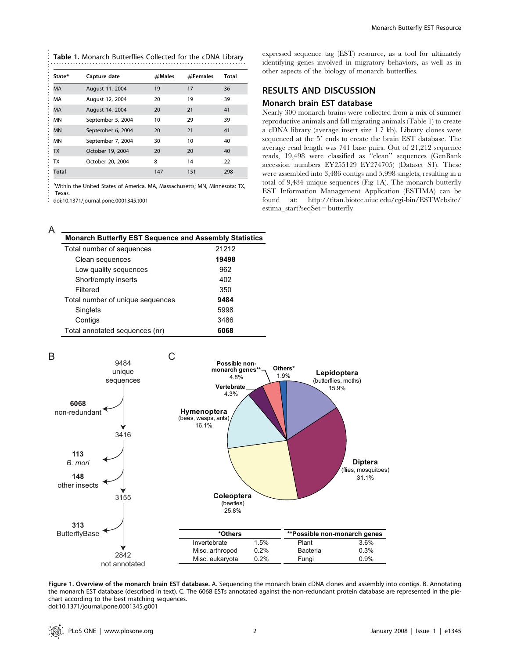| State*       | Capture date      | $#$ Males | $#$ Females | Total |
|--------------|-------------------|-----------|-------------|-------|
| <b>MA</b>    | August 11, 2004   | 19        | 17          | 36    |
| MA           | August 12, 2004   | 20        | 19          | 39    |
| МA           | August 14, 2004   | 20        | 21          | 41    |
| MN           | September 5, 2004 | 10        | 29          | 39    |
| <b>MN</b>    | September 6, 2004 | 20        | 21          | 41    |
| MN           | September 7, 2004 | 30        | 10          | 40    |
| TX           | October 19, 2004  | 20        | 20          | 40    |
| <b>TX</b>    | October 20, 2004  | 8         | 14          | 22    |
| <b>Total</b> |                   | 147       | 151         | 298   |

 $\ddot{\phantom{a}}$ doi:10.1371/journal.pone.0001345.t001 expressed sequence tag (EST) resource, as a tool for ultimately identifying genes involved in migratory behaviors, as well as in other aspects of the biology of monarch butterflies.

# RESULTS AND DISCUSSION

### Monarch brain EST database

Nearly 300 monarch brains were collected from a mix of summer reproductive animals and fall migrating animals (Table 1) to create a cDNA library (average insert size 1.7 kb). Library clones were sequenced at the 5' ends to create the brain EST database. The average read length was 741 base pairs. Out of 21,212 sequence reads, 19,498 were classified as ''clean'' sequences (GenBank accession numbers EY255129–EY274705) (Dataset S1). These were assembled into 3,486 contigs and 5,998 singlets, resulting in a total of 9,484 unique sequences (Fig 1A). The monarch butterfly EST Information Management Application (ESTIMA) can be found at: http://titan.biotec.uiuc.edu/cgi-bin/ESTWebsite/ estima\_start?seqSet = butterfly

| <b>Monarch Butterfly EST Sequence and Assembly Statistics</b> |       |
|---------------------------------------------------------------|-------|
| Total number of sequences                                     | 21212 |
| Clean sequences                                               | 19498 |
| Low quality sequences                                         | 962   |
| Short/empty inserts                                           | 402   |
| Filtered                                                      | 350   |
| Total number of unique sequences                              | 9484  |
| Singlets                                                      | 5998  |
| Contigs                                                       | 3486  |
| Total annotated sequences (nr)                                | 6068  |

B **Others\*** 1.9% **Possible non**monarch genes<sup>\*</sup> 4.8% **Vertebrate** 4.3% **Lepidoptera**  (butterflies, moths) 15.9% **Hymenoptera**  (bees, wasps, ants) 16.1% **Coleoptera**  (beetles) 25.8% **Diptera**  (flies, mosquitoes) 31.1% 9484 unique sequences 3416 **6068** non-redundant **113** *B. mori* **148** other insects 3155 2842 not annotated **313** ButterflyBase  $\overline{C}$ **\*Others**  Invertebrate 1.5% Misc. arthropod 0.2%<br>Misc. eukaryota 0.2% Misc. eukaryota **\*\*Possible non-monarch genes**  Plant 3.6% Bacteria 0.3%<br>Fungi 0.9% Fungi

Figure 1. Overview of the monarch brain EST database. A. Sequencing the monarch brain cDNA clones and assembly into contigs. B. Annotating the monarch EST database (described in text). C. The 6068 ESTs annotated against the non-redundant protein database are represented in the piechart according to the best matching sequences. doi:10.1371/journal.pone.0001345.g001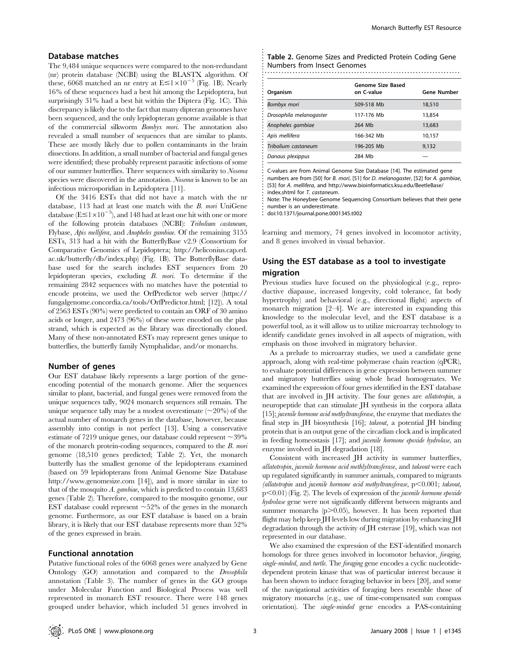### Database matches

The 9,484 unique sequences were compared to the non-redundant (nr) protein database (NCBI) using the BLASTX algorithm. Of these, 6068 matched an nr entry at  $E \leq 1 \times 10^{-5}$  (Fig. 1B). Nearly 16% of these sequences had a best hit among the Lepidoptera, but surprisingly 31% had a best hit within the Diptera (Fig. 1C). This discrepancy is likely due to the fact that many dipteran genomes have been sequenced, and the only lepidopteran genome available is that of the commercial silkworm Bombyx mori. The annotation also revealed a small number of sequences that are similar to plants. These are mostly likely due to pollen contaminants in the brain dissections. In addition, a small number of bacterial and fungal genes were identified; these probably represent parasitic infections of some of our summer butterflies. Three sequences with similarity to Nosema species were discovered in the annotation. Nosema is known to be an infectious microsporidian in Lepidoptera [11].

Of the 3416 ESTs that did not have a match with the nr database, 113 had at least one match with the B. mori UniGene database  $(E \le 1 \times 10^{-5})$ , and 148 had at least one hit with one or more of the following protein databases (NCBI): Tribolium castaneum, Flybase, Apis mellifera, and Anopheles gambiae. Of the remaining 3155 ESTs, 313 had a hit with the ButterflyBase v2.9 (Consortium for Comparative Genomics of Lepidoptera; http://heliconius.cap.ed. ac.uk/butterfly/db/index.php) (Fig. 1B). The ButterflyBase database used for the search includes EST sequences from 20 lepidopteran species, excluding B. mori. To determine if the remaining 2842 sequences with no matches have the potential to encode proteins, we used the OrfPredictor web server (https:// fungalgenome.concordia.ca/tools/OrfPredictor.html; [12]). A total of 2563 ESTs (90%) were predicted to contain an ORF of 30 amino acids or longer, and 2473 (96%) of these were encoded on the plus strand, which is expected as the library was directionally cloned. Many of these non-annotated ESTs may represent genes unique to butterflies, the butterfly family Nymphalidae, and/or monarchs.

### Number of genes

Our EST database likely represents a large portion of the geneencoding potential of the monarch genome. After the sequences similar to plant, bacterial, and fungal genes were removed from the unique sequences tally, 9024 monarch sequences still remain. The unique sequence tally may be a modest overestimate  $(\sim 20\%)$  of the actual number of monarch genes in the database, however, because assembly into contigs is not perfect [13]. Using a conservative estimate of 7219 unique genes, our database could represent  $\sim$ 39% of the monarch protein-coding sequences, compared to the B. mori genome (18,510 genes predicted; Table 2). Yet, the monarch butterfly has the smallest genome of the lepidopterans examined (based on 59 lepidopterans from Animal Genome Size Database http://www.genomesize.com [14]), and is more similar in size to that of the mosquito A. gambiae, which is predicted to contain 13,683 genes (Table 2). Therefore, compared to the mosquito genome, our EST database could represent  $\sim$  52% of the genes in the monarch genome. Furthermore, as our EST database is based on a brain library, it is likely that our EST database represents more than 52% of the genes expressed in brain.

### Functional annotation

Putative functional roles of the 6068 genes were analyzed by Gene Ontology (GO) annotation and compared to the Drosophila annotation (Table 3). The number of genes in the GO groups under Molecular Function and Biological Process was well represented in monarch EST resource. There were 148 genes grouped under behavior, which included 51 genes involved in

| Table 2. Genome Sizes and Predicted Protein Coding Gene |
|---------------------------------------------------------|
| Numbers from Insect Genomes                             |
|                                                         |

|                         | <b>Genome Size Based</b> |                    |
|-------------------------|--------------------------|--------------------|
| Organism                | on C-value               | <b>Gene Number</b> |
| Bombyx mori             | 509-518 Mb               | 18,510             |
| Drosophila melanogaster | 117-176 Mb               | 13,854             |
| Anopheles gambiae       | 264 Mb                   | 13,683             |
| Apis mellifera          | 166-342 Mb               | 10,157             |
| Tribolium castaneum     | 196-205 Mb               | 9,132              |
| Danaus plexippus        | 284 Mb                   |                    |

C-values are from Animal Genome Size Database [14]. The estimated gene numbers are from [50] for B. mori, [51] for D. melanogaster, [52] for A. gambiae, [53] for A. mellifera, and http://www.bioinformatics.ksu.edu/BeetleBase/ index.shtml for T. castaneum.

............................................................

Note: The Honeybee Genome Sequencing Consortium believes that their gene number is an underestimate.

doi:10.1371/journal.pone.0001345.t002

learning and memory, 74 genes involved in locomotor activity, and 8 genes involved in visual behavior.

# Using the EST database as a tool to investigate migration

Previous studies have focused on the physiological (e.g., reproductive diapause, increased longevity, cold tolerance, fat body hypertrophy) and behavioral (e.g., directional flight) aspects of monarch migration [2–4]. We are interested in expanding this knowledge to the molecular level, and the EST database is a powerful tool, as it will allow us to utilize microarray technology to identify candidate genes involved in all aspects of migration, with emphasis on those involved in migratory behavior.

As a prelude to microarray studies, we used a candidate gene approach, along with real-time polymerase chain reaction (qPCR), to evaluate potential differences in gene expression between summer and migratory butterflies using whole head homogenates. We examined the expression of four genes identified in the EST database that are involved in JH activity. The four genes are allatotropin, a neuropeptide that can stimulate JH synthesis in the corpora allata [15]; juvenile hormone acid methyltransferase, the enzyme that mediates the final step in JH biosynthesis [16]; takeout, a potential JH binding protein that is an output gene of the circadian clock and is implicated in feeding homeostasis [17]; and juvenile hormone epoxide hydrolase, an enzyme involved in JH degradation [18].

Consistent with increased JH activity in summer butterflies, allatotropin, juvenile hormone acid methlyltransferase, and takeout were each up regulated significantly in summer animals, compared to migrants (allatotropin and juvenile hormone acid methyltransferase,  $p<0.001$ ; takeout,  $p<0.01$ ) (Fig. 2). The levels of expression of the *juvenile hormone epoxide* hydrolase gene were not significantly different between migrants and summer monarchs  $(p>0.05)$ , however. It has been reported that flight may help keep JH levels low during migration by enhancing JH degradation through the activity of JH esterase [19], which was not represented in our database.

We also examined the expression of the EST-identified monarch homologs for three genes involved in locomotor behavior, foraging, single-minded, and turtle. The foraging gene encodes a cyclic nucleotidedependent protein kinase that was of particular interest because it has been shown to induce foraging behavior in bees [20], and some of the navigational activities of foraging bees resemble those of migratory monarchs (e.g., use of time-compensated sun compass orientation). The single-minded gene encodes a PAS-containing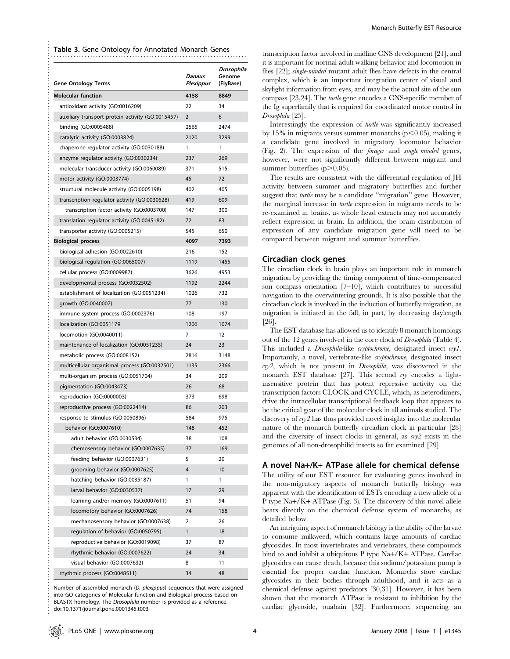Table 3. Gene Ontology for Annotated Monarch Genes

| <b>Gene Ontology Terms</b>                        | Danaus<br>Plexippus | Drosophila<br>Genome<br>(FlyBase) |
|---------------------------------------------------|---------------------|-----------------------------------|
| <b>Molecular function</b>                         | 4158                | 8849                              |
| antioxidant activity (GO:0016209)                 | 22                  | 34                                |
| auxiliary transport protein activity (GO:0015457) | $\overline{2}$      | 6                                 |
| binding (GO:0005488)                              | 2565                | 2474                              |
| catalytic activity (GO:0003824)                   | 2120                | 3299                              |
| chaperone regulator activity (GO:0030188)         | 1                   | 1                                 |
| enzyme regulator activity (GO:0030234)            | 237                 | 269                               |
| molecular transducer activity (GO:0060089)        | 371                 | 515                               |
| motor activity (GO:0003774)                       | 45                  | 72                                |
| structural molecule activity (GO:0005198)         | 402                 | 405                               |
| transcription regulator activity (GO:0030528)     | 419                 | 609                               |
| transcription factor activity (GO:0003700)        | 147                 | 300                               |
| translation regulator activity (GO:0045182)       | 72                  | 83                                |
| transporter activity (GO:0005215)                 | 545                 | 650                               |
| <b>Biological process</b>                         | 4097                | 7393                              |
| biological adhesion (GO:0022610)                  | 216                 | 152                               |
| biological regulation (GO:0065007)                | 1119                | 1455                              |
| cellular process (GO:0009987)                     | 3626                | 4953                              |
| developmental process (GO:0032502)                | 1192                | 2244                              |
| establishment of localization (GO:0051234)        | 1026                | 732                               |
| growth (GO:0040007)                               | 77                  | 130                               |
| immune system process (GO:0002376)                | 108                 | 197                               |
| localization (GO:0051179                          | 1206                | 1074                              |
| locomotion (GO:0040011)                           | 7                   | 12                                |
| maintenance of localization (GO:0051235)          | 24                  | 23                                |
| metabolic process (GO:0008152)                    | 2816                | 3148                              |
| multicellular organismal process (GO:0032501)     | 1135                | 2366                              |
| multi-organism process (GO:0051704)               | 34                  | 209                               |
| pigmentation (GO:0043473)                         | 26                  | 68                                |
| reproduction (GO:0000003)                         | 373                 | 698                               |
| reproductive process (GO:0022414)                 | 86                  | 203                               |
| response to stimulus (GO:0050896)                 | 584                 | 975                               |
| behavior (GO:0007610)                             | 148                 | 452                               |
| adult behavior (GO:0030534)                       | 38                  | 108                               |
| chemosensory behavior (GO:0007635)                | 37                  | 169                               |
| feeding behavior (GO:0007631)                     | 5                   | 20                                |
| grooming behavior (GO:0007625)                    | $\overline{4}$      | 10                                |
| hatching behavior (GO:0035187)                    | 1                   | 1                                 |
| larval behavior (GO:0030537)                      | 17                  | 29                                |
| learning and/or memory (GO:0007611)               | 51                  | 94                                |
| locomotory behavior (GO:0007626)                  | 74                  | 158                               |
| mechanosensory behavior (GO:0007638)              | 2                   | 26                                |
| regulation of behavior (GO:0050795)               | $\mathbf{1}$        | 18                                |
| reproductive behavior (GO:0019098)                | 37                  | 87                                |
| rhythmic behavior (GO:0007622)                    | 24                  | 34                                |
| visual behavior (GO:0007632)                      | 8                   | 11                                |
| rhythmic process (GO:0048511)                     | 34                  | 48                                |

............................................................................................................................... ..............................................................................

Number of assembled monarch (D. plexippus) sequences that were assigned into GO categories of Molecular function and Biological process based on BLASTX homology. The Drosophila number is provided as a reference. doi:10.1371/journal.pone.0001345.t003

transcription factor involved in midline CNS development [21], and it is important for normal adult walking behavior and locomotion in flies [22]; single-minded mutant adult flies have defects in the central complex, which is an important integration center of visual and skylight information from eyes, and may be the actual site of the sun compass [23,24]. The turtle gene encodes a CNS-specific member of the Ig superfamily that is required for coordinated motor control in Drosophila [25].

Interestingly the expression of turtle was significantly increased by 15% in migrants versus summer monarchs  $(p<0.05)$ , making it a candidate gene involved in migratory locomotor behavior (Fig. 2). The expression of the forager and single-minded genes, however, were not significantly different between migrant and summer butterflies  $(p>0.05)$ .

The results are consistent with the differential regulation of JH activity between summer and migratory butterflies and further suggest that *turtle* may be a candidate "migration" gene. However, the marginal increase in turtle expression in migrants needs to be re-examined in brains, as whole head extracts may not accurately reflect expression in brain. In addition, the brain distribution of expression of any candidate migration gene will need to be compared between migrant and summer butterflies.

### Circadian clock genes

The circadian clock in brain plays an important role in monarch migration by providing the timing component of time-compensated sun compass orientation [7–10], which contributes to successful navigation to the overwintering grounds. It is also possible that the circadian clock is involved in the induction of butterfly migration, as migration is initiated in the fall, in part, by decreasing daylength [26].

The EST database has allowed us to identify 8 monarch homologs out of the 12 genes involved in the core clock of Drosophila (Table 4). This included a *Drosophila*-like *cryptochrome*, designated insect *cry1*. Importantly, a novel, vertebrate-like cryptochrome, designated insect cry2, which is not present in Drosophila, was discovered in the monarch EST database [27]. This second  $\alpha y$  encodes a lightinsensitive protein that has potent repressive activity on the transcription factors CLOCK and CYCLE, which, as heterodimers, drive the intracellular transcriptional feedback loop that appears to be the critical gear of the molecular clock in all animals studied. The discovery of  $\epsilon r y2$  has thus provided novel insights into the molecular nature of the monarch butterfly circadian clock in particular [28] and the diversity of insect clocks in general, as cry2 exists in the genomes of all non-drosophilid insects so far examined [29].

### A novel Na+/K+ ATPase allele for chemical defense

The utility of our EST resource for evaluating genes involved in the non-migratory aspects of monarch butterfly biology was apparent with the identification of ESTs encoding a new allele of a P type Na+/K+ ATPase (Fig. 3). The discovery of this novel allele bears directly on the chemical defense system of monarchs, as detailed below.

An intriguing aspect of monarch biology is the ability of the larvae to consume milkweed, which contains large amounts of cardiac glycosides. In most invertebrates and vertebrates, these compounds bind to and inhibit a ubiquitous P type Na+/K+ ATPase. Cardiac glycosides can cause death, because this sodium/potassium pump is essential for proper cardiac function. Monarchs store cardiac glycosides in their bodies through adulthood, and it acts as a chemical defense against predators [30,31]. However, it has been shown that the monarch ATPase is resistant to inhibition by the cardiac glycoside, ouabain [32]. Furthermore, sequencing an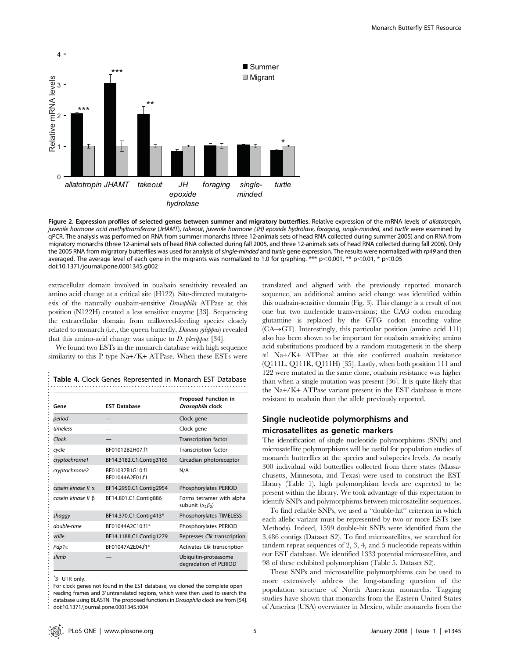

Figure 2. Expression profiles of selected genes between summer and migratory butterflies. Relative expression of the mRNA levels of allatotropin, juvenile hormone acid methyltransferase (JHAMT), takeout, juvenile hormone (JH) epoxide hydrolase, foraging, single-minded, and turtle were examined by qPCR. The analysis was performed on RNA from summer monarchs (three 12-animals sets of head RNA collected during summer 2005) and on RNA from migratory monarchs (three 12-animal sets of head RNA collected during fall 2005, and three 12-animals sets of head RNA collected during fall 2006). Only the 2005 RNA from migratory butterflies was used for analysis of single-minded and turtle gene expression. The results were normalized with rp49 and then averaged. The average level of each gene in the migrants was normalized to 1.0 for graphing. \*\*\* p<0.001, \*\* p<0.01, \* p<0.05 doi:10.1371/journal.pone.0001345.g002

extracellular domain involved in ouabain sensitivity revealed an amino acid change at a critical site (H122). Site-directed mutatgenesis of the naturally ouabain-sensitive Drosophila ATPase at this position (N122H) created a less sensitive enzyme [33]. Sequencing the extracellular domain from milkweed-feeding species closely related to monarch (i.e., the queen butterfly, Danaus gilippus) revealed that this amino-acid change was unique to  $D$ . plexippus [34].

We found two ESTs in the monarch database with high sequence similarity to this P type Na+/K+ ATPase. When these ESTs were

| Gene                     | <b>FST Database</b>                | <b>Proposed Function in</b><br>Drosophila clock          |
|--------------------------|------------------------------------|----------------------------------------------------------|
| period                   |                                    | Clock gene                                               |
| timeless                 |                                    | Clock gene                                               |
| Clock                    |                                    | <b>Transcription factor</b>                              |
| cycle                    | RF01012R2H07f1                     | <b>Transcription factor</b>                              |
| cryptochrome1            | BF14.3182.C1.Contig3165            | Circadian photoreceptor                                  |
| cryptochrome2            | BF01037B1G10.f1<br>BF01044A2F01 f1 | N/A                                                      |
| casein kinase II α       | BF14.2950.C1.Contig2954            | Phosphorylates PERIOD                                    |
| casein kinase II $\beta$ | BF14.801.C1.Contig886              | Forms tetramer with alpha<br>subunit $(\alpha_2\beta_2)$ |
| shaqqy                   | BF14.370.C1.Contig413*             | Phosphorylates TIMELESS                                  |
| double-time              | BF01044A2C10f1*                    | Phosphorylates PERIOD                                    |
| vrille                   | BF14.1188.C1.Contig1279            | Represses Clk transcription                              |
| Pdp1ε                    | BF01047A2E04.f1*                   | Activates Clk transcription                              |
| slimb                    |                                    | Ubiquitin-proteasome<br>degradation of PERIOD            |

Table 4. Clock Genes Represented in Monarch EST Database

 $*$ 3' UTR only.

.....................................................................................

For clock genes not found in the EST database, we cloned the complete open reading frames and 3'untranslated regions, which were then used to search the database using BLASTN. The proposed functions in Drosophila clock are from [54]. doi:10.1371/journal.pone.0001345.t004

translated and aligned with the previously reported monarch sequence, an additional amino acid change was identified within this ouabain-sensitive domain (Fig. 3). This change is a result of not one but two nucleotide transversions; the CAG codon encoding glutamine is replaced by the GTG codon encoding valine  $(CA \rightarrow GT)$ . Interestingly, this particular position (amino acid 111) also has been shown to be important for ouabain sensitivity; amino acid substitutions produced by a random mutagenesis in the sheep a1 Na+/K+ ATPase at this site conferred ouabain resistance (Q111L, Q111R, Q111H) [35]. Lastly, when both position 111 and 122 were mutated in the same clone, ouabain resistance was higher than when a single mutation was present [36]. It is quite likely that the Na+/K+ ATPase variant present in the EST database is more resistant to ouabain than the allele previously reported.

# Single nucleotide polymorphisms and microsatellites as genetic markers

The identification of single nucleotide polymorphisms (SNPs) and microsatellite polymorphisms will be useful for population studies of monarch butterflies at the species and subspecies levels. As nearly 300 individual wild butterflies collected from three states (Massachusetts, Minnesota, and Texas) were used to construct the EST library (Table 1), high polymorphism levels are expected to be present within the library. We took advantage of this expectation to identify SNPs and polymorphisms between microsatellite sequences.

To find reliable SNPs, we used a ''double-hit'' criterion in which each allelic variant must be represented by two or more ESTs (see Methods). Indeed, 1599 double-hit SNPs were identified from the 3,486 contigs (Dataset S2). To find microsatellites, we searched for tandem repeat sequences of 2, 3, 4, and 5 nucleotide repeats within our EST database. We identified 1333 potential microsatellites, and 98 of these exhibited polymorphism (Table 5, Dataset S2).

These SNPs and microsatellite polymorphisms can be used to more extensively address the long-standing question of the population structure of North American monarchs. Tagging studies have shown that monarchs from the Eastern United States of America (USA) overwinter in Mexico, while monarchs from the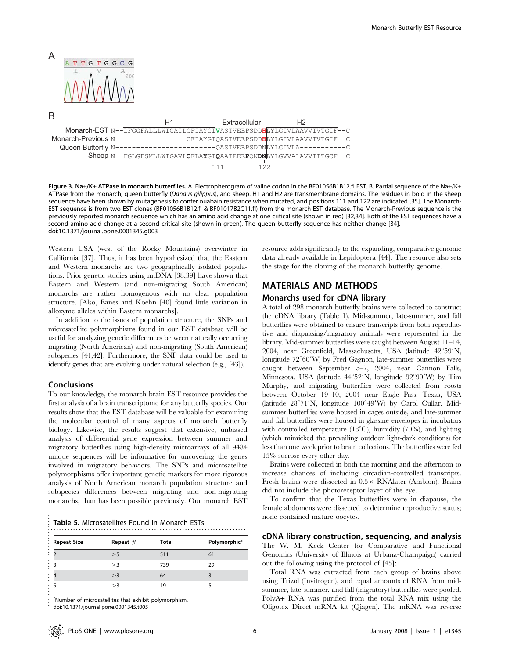

Figure 3. Na+/K+ ATPase in monarch butterflies. A. Electropherogram of valine codon in the BF01056B1B12.fl EST. B. Partial sequence of the Na+/K+ ATPase from the monarch, queen butterfly (Danaus gilippus), and sheep. H1 and H2 are transmembrane domains. The residues in bold in the sheep sequence have been shown by mutagenesis to confer ouabain resistance when mutated, and positions 111 and 122 are indicated [35]. The Monarch-EST sequence is from two EST clones (BF01056B1B12.fl & BF01017B2C11.fl) from the monarch EST database. The Monarch-Previous sequence is the previously reported monarch sequence which has an amino acid change at one critical site (shown in red) [32,34]. Both of the EST sequences have a second amino acid change at a second critical site (shown in green). The queen butterfly sequence has neither change [34]. doi:10.1371/journal.pone.0001345.g003

Western USA (west of the Rocky Mountains) overwinter in California [37]. Thus, it has been hypothesized that the Eastern and Western monarchs are two geographically isolated populations. Prior genetic studies using mtDNA [38,39] have shown that Eastern and Western (and non-migrating South American) monarchs are rather homogenous with no clear population structure. [Also, Eanes and Koehn [40] found little variation in allozyme alleles within Eastern monarchs].

In addition to the issues of population structure, the SNPs and microsatellite polymorphisms found in our EST database will be useful for analyzing genetic differences between naturally occurring migrating (North American) and non-migrating (South American) subspecies [41,42]. Furthermore, the SNP data could be used to identify genes that are evolving under natural selection (e.g., [43]).

### Conclusions

To our knowledge, the monarch brain EST resource provides the first analysis of a brain transcriptome for any butterfly species. Our results show that the EST database will be valuable for examining the molecular control of many aspects of monarch butterfly biology. Likewise, the results suggest that extensive, unbiased analysis of differential gene expression between summer and migratory butterflies using high-density microarrays of all 9484 unique sequences will be informative for uncovering the genes involved in migratory behaviors. The SNPs and microsatellite polymorphisms offer important genetic markers for more rigorous analysis of North American monarch population structure and subspecies differences between migrating and non-migrating monarchs, than has been possible previously. Our monarch EST

| <b>Table 5. Microsatellites Found in Monarch ESTs</b> |  |
|-------------------------------------------------------|--|
|                                                       |  |

| <b>Repeat Size</b> | Repeat $#$ | Total | Polymorphic* |
|--------------------|------------|-------|--------------|
|                    | >5         | 511   | 61           |
| 3                  | >3         | 739   | 29           |
|                    | >3         | 64    | 3            |
|                    | >3         | 19    | 5            |

doi:10.1371/journal.pone.0001345.t005

the stage for the cloning of the monarch butterfly genome. MATERIALS AND METHODS

resource adds significantly to the expanding, comparative genomic data already available in Lepidoptera [44]. The resource also sets

### Monarchs used for cDNA library

A total of 298 monarch butterfly brains were collected to construct the cDNA library (Table 1). Mid-summer, late-summer, and fall butterflies were obtained to ensure transcripts from both reproductive and diapuasing/migratory animals were represented in the library. Mid-summer butterflies were caught between August 11–14, 2004, near Greenfield, Massachusetts, USA (latitude  $42^{\circ}59'N$ , longitude 72°60'W) by Fred Gagnon, late-summer butterflies were caught between September 5–7, 2004, near Cannon Falls, Minnesota, USA (latitude 44°52'N, longitude 92°90'W) by Tim Murphy, and migrating butterflies were collected from roosts between October 19–10, 2004 near Eagle Pass, Texas, USA (latitude  $28^{\circ}71'N$ , longitude  $100^{\circ}49'W$ ) by Carol Cullar. Midsummer butterflies were housed in cages outside, and late-summer and fall butterflies were housed in glassine envelopes in incubators with controlled temperature  $(18^{\circ}C)$ , humidity  $(70\%)$ , and lighting (which mimicked the prevailing outdoor light-dark conditions) for less than one week prior to brain collections. The butterflies were fed 15% sucrose every other day.

Brains were collected in both the morning and the afternoon to increase chances of including circadian-controlled transcripts. Fresh brains were dissected in  $0.5 \times$  RNAlater (Ambion). Brains did not include the photoreceptor layer of the eye.

To confirm that the Texas butterflies were in diapause, the female abdomens were dissected to determine reproductive status; none contained mature oocytes.

cDNA library construction, sequencing, and analysis The W. M. Keck Center for Comparative and Functional Genomics (University of Illinois at Urbana-Champaign) carried out the following using the protocol of [45]:

Total RNA was extracted from each group of brains above using Trizol (Invitrogen), and equal amounts of RNA from midsummer, late-summer, and fall (migratory) butterflies were pooled. PolyA+ RNA was purified from the total RNA mix using the Oligotex Direct mRNA kit (Qiagen). The mRNA was reverse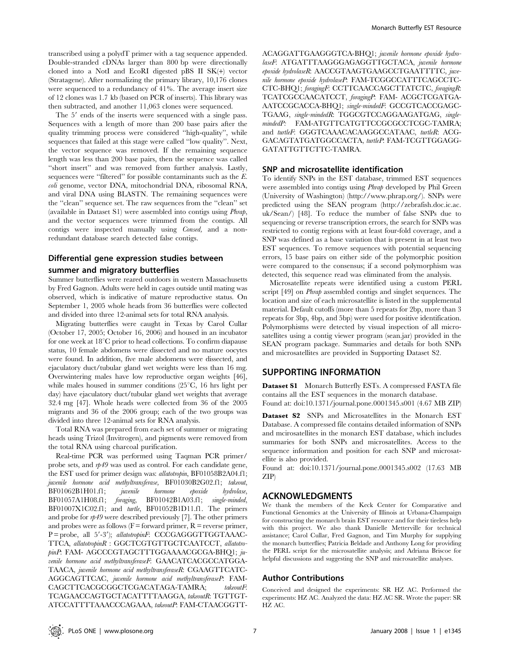transcribed using a polydT primer with a tag sequence appended. Double-stranded cDNAs larger than 800 bp were directionally cloned into a NotI and EcoRI digested pBS II SK(+) vector (Stratagene). After normalizing the primary library, 10,176 clones were sequenced to a redundancy of 41%. The average insert size of 12 clones was 1.7 kb (based on PCR of inserts). This library was then subtracted, and another 11,063 clones were sequenced.

The 5' ends of the inserts were sequenced with a single pass. Sequences with a length of more than 200 base pairs after the quality trimming process were considered ''high-quality'', while sequences that failed at this stage were called ''low quality''. Next, the vector sequence was removed. If the remaining sequence length was less than 200 base pairs, then the sequence was called ''short insert'' and was removed from further analysis. Lastly, sequences were ''filtered'' for possible contaminants such as the E. coli genome, vector DNA, mitochondrial DNA, ribosomal RNA, and viral DNA using BLASTN. The remaining sequences were the ''clean'' sequence set. The raw sequences from the ''clean'' set (available in Dataset S1) were assembled into contigs using Phrap, and the vector sequences were trimmed from the contigs. All contigs were inspected manually using Consed, and a nonredundant database search detected false contigs.

## Differential gene expression studies between

### summer and migratory butterflies

Summer butterflies were reared outdoors in western Massachusetts by Fred Gagnon. Adults were held in cages outside until mating was observed, which is indicative of mature reproductive status. On September 1, 2005 whole heads from 36 butterflies were collected and divided into three 12-animal sets for total RNA analysis.

Migrating butterflies were caught in Texas by Carol Cullar (October 17, 2005; October 16, 2006) and housed in an incubator for one week at  $18^{\circ}$ C prior to head collections. To confirm diapause status, 10 female abdomens were dissected and no mature oocytes were found. In addition, five male abdomens were dissected, and ejaculatory duct/tubular gland wet weights were less than 16 mg. Overwintering males have low reproductive organ weights [46], while males housed in summer conditions  $(25^{\circ}C, 16)$  hrs light per day) have ejaculatory duct/tubular gland wet weights that average 32.4 mg [47]. Whole heads were collected from 36 of the 2005 migrants and 36 of the 2006 group; each of the two groups was divided into three 12-animal sets for RNA analysis.

Total RNA was prepared from each set of summer or migrating heads using Trizol (Invitrogen), and pigments were removed from the total RNA using charcoal purification.

Real-time PCR was performed using Taqman PCR primer/ probe sets, and  $rp49$  was used as control. For each candidate gene, the EST used for primer design was: allatotropin, BF01058B2A04.f1; juvenile hormone acid methyltransferase, BF01030B2G02.f1; takeout, BF01062B1H01.f1; juvenile hormone epoxide hydrolase, BF01057A1H08.f1; foraging, BF01042B1A03.f1; single-minded, BF01007X1C02.f1; and turtle, BF01052B1D11.f1. The primers and probe for  $np49$  were described previously [7]. The other primers and probes were as follows  $(F = forward primer, R = reverse primer,$ P = probe, all 5'-3'); allatotropinF: CCCGAGGGTTGGTAAAC-TTCA, allatotropinR : GGCTCGTGTTGCTCAATCCT, allatotropinP: FAM- AGCCCGTAGCTTTGGAAAACGCGA-BHQ1; juvenile hormone acid methyltransferaseF: GAACATCACGCCATGGA-TAACA, juvenile hormone acid methyltransferaseR: CGAAGTTCATC-AGGCAGTTCAC, juvenile hormone acid methyltransferaseP: FAM-CAGCTTCACGCGGCTCGACATAGA-TAMRA; takeoutF: TCAGAACCAGTGCTACATTTTAAGGA, takeoutR: TGTTGT-ATCCATTTTAAACCCAGAAA, takeoutP: FAM-CTAACGGTT-

ACAGGATTGAAGGGTCA-BHQ1; juvenile hormone epoxide hydrolaseF: ATGATTTAAGGGAGAGGTTGCTACA, juvenile hormone epoxide hydrolaseR: AACCGTAAGTGAAGCCTGAATTTTC, juvenile hormone epoxide hydrolaseP: FAM-TCGGCCATTTCAGCCTC-CTC-BHQ1; foragingF: CCTTCAACCAGCTTATCTC, foragingR: TCATCGCCAACATCCT, foragingP: FAM- ACGCTCGATGA-AATCCGCACCA-BHQ1; single-mindedF: GCCGTCACCGAGC-TGAAG, single-mindedR: TGGCGTCCAGGAAGATGAG, singlemindedP: FAM-ATGTTCATGTTCCGCGCCTCGC-TAMRA; and turtleF: GGGTCAAACACAAGGCCATAAC, turtleR: ACG-GACAGTATGATGGCCACTA, turtleP: FAM-TCGTTGGAGG-GATATTGTTCTTC-TAMRA.

### SNP and microsatellite identification

To identify SNPs in the EST database, trimmed EST sequences were assembled into contigs using Phrap developed by Phil Green (University of Washington) (http://www.phrap.org/). SNPs were predicted using the SEAN program (http://zebrafish.doc.ic.ac. uk/Sean/) [48]. To reduce the number of false SNPs due to sequencing or reverse transcription errors, the search for SNPs was restricted to contig regions with at least four-fold coverage, and a SNP was defined as a base variation that is present in at least two EST sequences. To remove sequences with potential sequencing errors, 15 base pairs on either side of the polymorphic position were compared to the consensus; if a second polymorphism was detected, this sequence read was eliminated from the analysis.

Microsatellite repeats were identified using a custom PERL script [49] on *Phrap* assembled contigs and singlet sequences. The location and size of each microsatellite is listed in the supplemental material. Default cutoffs (more than 5 repeats for 2bp, more than 3 repeats for 3bp, 4bp, and 5bp) were used for positive identification. Polymorphisms were detected by visual inspection of all microsatellites using a contig viewer program (sean.jar) provided in the SEAN program package. Summaries and details for both SNPs and microsatellites are provided in Supporting Dataset S2.

# SUPPORTING INFORMATION

Dataset S1 Monarch Butterfly ESTs. A compressed FASTA file contains all the EST sequences in the monarch database. Found at: doi:10.1371/journal.pone.0001345.s001 (4.67 MB ZIP)

Dataset S2 SNPs and Microsatellites in the Monarch EST Database. A compressed file contains detailed information of SNPs and mcirosatellites in the monarch EST database, which includes summaries for both SNPs and microsatellites. Access to the sequence information and position for each SNP and microsatellite is also provided.

Found at: doi:10.1371/journal.pone.0001345.s002 (17.63 MB ZIP)

### ACKNOWLEDGMENTS

We thank the members of the Keck Center for Comparative and Functional Genomics at the University of Illinois at Urbana-Champaign for constructing the monarch brain EST resource and for their tireless help with this project. We also thank Danielle Metterville for technical assistance; Carol Cullar, Fred Gagnon, and Tim Murphy for supplying the monarch butterflies; Patricia Beldade and Anthony Long for providing the PERL script for the microsatellite analysis; and Adriana Briscoe for helpful discussions and suggesting the SNP and microsatellite analyses.

### Author Contributions

Conceived and designed the experiments: SR HZ AC. Performed the experiments: HZ AC. Analyzed the data: HZ AC SR. Wrote the paper: SR HZ AC.